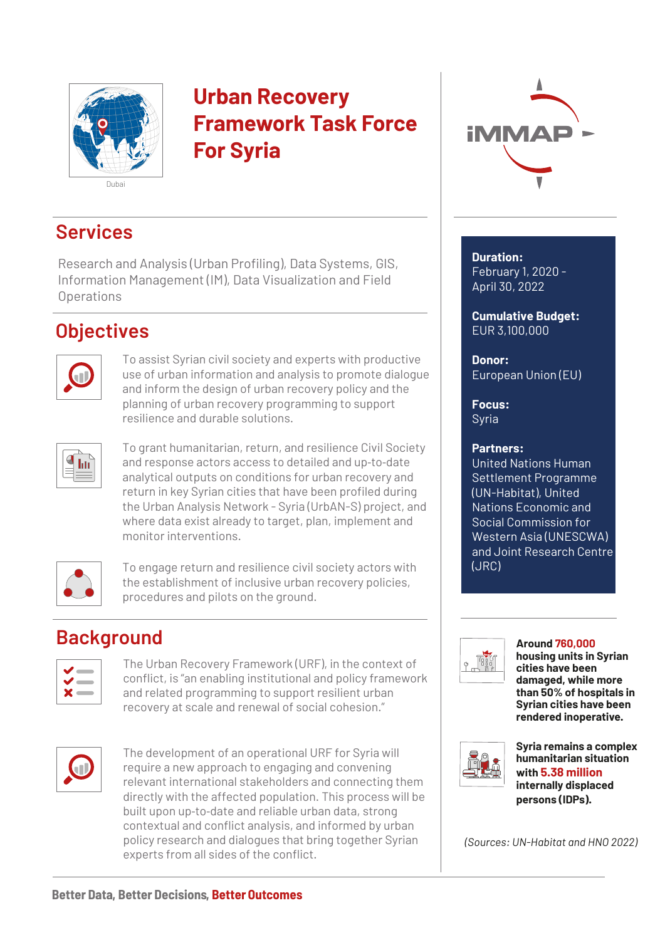

# **Urban Recovery Framework Task Force For Syria**



## **Services**

Research and Analysis (Urban Profiling), Data Systems, GIS, Information Management (IM), Data Visualization and Field **Operations** 

## **Objectives**



To assist Syrian civil society and experts with productive use of urban information and analysis to promote dialogue and inform the design of urban recovery policy and the planning of urban recovery programming to support resilience and durable solutions.



To grant humanitarian, return, and resilience Civil Society and response actors access to detailed and up‐to‐date analytical outputs on conditions for urban recovery and return in key Syrian cities that have been profiled during the Urban Analysis Network - Syria (UrbAN-S) project, and where data exist already to target, plan, implement and monitor interventions.



To engage return and resilience civil society actors with the establishment of inclusive urban recovery policies, procedures and pilots on the ground.

## **Background**

The Urban Recovery Framework (URF), in the context of conflict, is "an enabling institutional and policy framework and related programming to support resilient urban recovery at scale and renewal of social cohesion."

|--|

The development of an operational URF for Syria will require a new approach to engaging and convening relevant international stakeholders and connecting them directly with the affected population. This process will be built upon up‐to‐date and reliable urban data, strong contextual and conflict analysis, and informed by urban policy research and dialogues that bring together Syrian experts from all sides of the conflict.

**Duration:**  February 1, 2020 - April 30, 2022

**Cumulative Budget:** EUR 3,100,000

**Donor:** European Union (EU)

**Focus:** Syria

### **Partners:**

United Nations Human Settlement Programme (UN-Habitat), United Nations Economic and Social Commission for Western Asia (UNESCWA) and Joint Research Centre (JRC)



**Around 760,000 housing units in Syrian cities have been damaged, while more than 50% of hospitals in Syrian cities have been rendered inoperative.**



**Syria remains a complex humanitarian situation with 5.38 million internally displaced persons (IDPs).**

*(Sources: UN-Habitat and HNO 2022)*